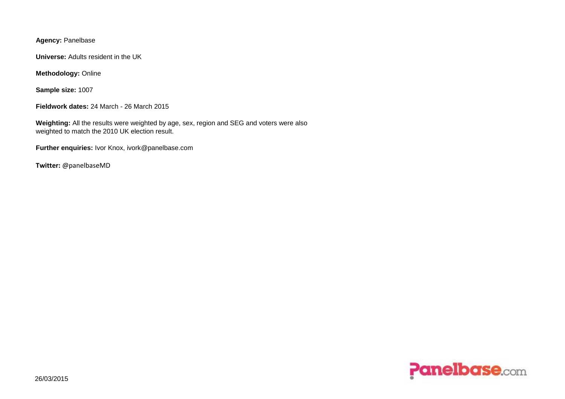**Agency:** Panelbase

**Universe:** Adults resident in the UK

**Methodology:** Online

**Sample size:** 1007

**Fieldwork dates:** 24 March - 26 March 2015

**Weighting:** All the results were weighted by age, sex, region and SEG and voters were also weighted to match the 2010 UK election result.

**Further enquiries:** Ivor Knox, ivork@panelbase.com

**Twitter:** @panelbaseMD

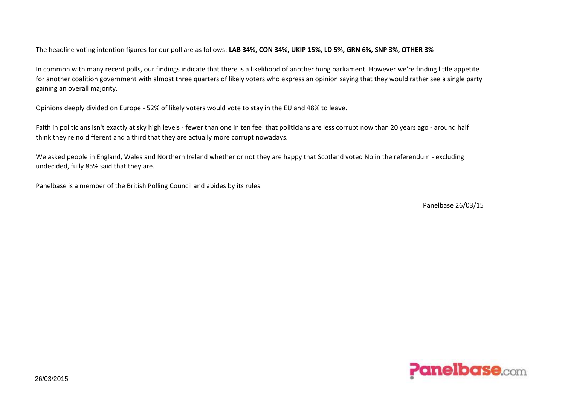The headline voting intention figures for our poll are as follows: **LAB 34%, CON 34%, UKIP 15%, LD 5%, GRN 6%, SNP 3%, OTHER 3%**

In common with many recent polls, our findings indicate that there is a likelihood of another hung parliament. However we're finding little appetite for another coalition government with almost three quarters of likely voters who express an opinion saying that they would rather see a single party gaining an overall majority.

Opinions deeply divided on Europe - 52% of likely voters would vote to stay in the EU and 48% to leave.

Faith in politicians isn't exactly at sky high levels - fewer than one in ten feel that politicians are less corrupt now than 20 years ago - around half think they're no different and a third that they are actually more corrupt nowadays.

We asked people in England, Wales and Northern Ireland whether or not they are happy that Scotland voted No in the referendum - excluding undecided, fully 85% said that they are.

Panelbase is a member of the British Polling Council and abides by its rules.

Panelbase 26/03/15

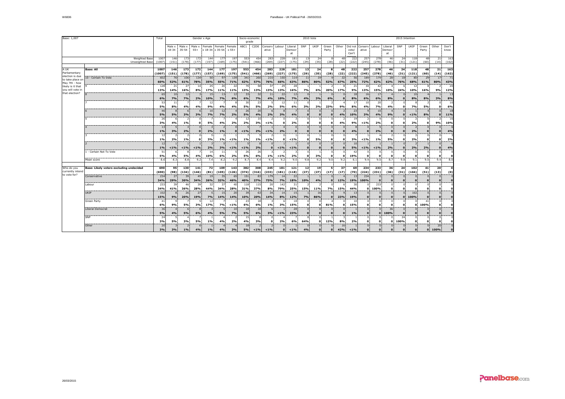| Base: 1,007                             |                                         |                | Gender x Age         |                     |                    |                               |                           |                   |                 | Socio-economic<br>grade  | 2010 Vote<br>2015 Intention |              |                         |                      |                              |                          |                          |                           |                              |                           |                         |                        |                          |                      |                      |                |
|-----------------------------------------|-----------------------------------------|----------------|----------------------|---------------------|--------------------|-------------------------------|---------------------------|-------------------|-----------------|--------------------------|-----------------------------|--------------|-------------------------|----------------------|------------------------------|--------------------------|--------------------------|---------------------------|------------------------------|---------------------------|-------------------------|------------------------|--------------------------|----------------------|----------------------|----------------|
|                                         |                                         |                | Male x<br>$18 - 34$  | Male x<br>$35 - 54$ | Male x<br>$55+$    | Female                        | Female<br>x 18-34 x 35-54 | Female<br>$x 55+$ | ABC1            | C <sub>2</sub> DE        | Conserv<br>ative            | Labour       | Liberal<br>Democr<br>at | SNP                  | UKIP                         | Green<br>Party           | Other                    | Did not<br>vote/<br>Can't | Conserv<br>ative             | Labour                    | Liberal<br>Democr<br>at | SNP                    | UKIP                     | Green<br>Party       | Other                | Don't<br>know  |
| Weighted Base<br><b>Unweighted Base</b> |                                         | 1007<br>(1007) | 146<br>(151)         | 173<br>(178)        | 172<br>(177)       | 144<br>(157)                  | 177<br>(169)              | 197<br>(175)      | 553<br>(541)    | 454<br>(466)             | 283<br>(269)                | 228<br>(227) | 181<br>(175)            | 13<br>(29)           | 24<br>(35)                   | 8<br>(28)                | 48<br>(22)               | 222<br>(222)              | 257<br>(245)                 | 278<br>(278)              | 46<br>(46)              | 24<br>(31)             | 118<br>(121)             | 48<br>(60)           | 21<br>(14)           | 163<br>(162)   |
|                                         |                                         |                |                      |                     |                    |                               |                           |                   |                 |                          |                             |              |                         |                      |                              |                          |                          |                           |                              |                           |                         |                        |                          |                      |                      |                |
| A UK<br>Parliamentary                   | <b>Base: All</b>                        | 1007           | 146                  | 173                 | 172                | 144                           | 177                       | 197               | 553             | 454                      | 283                         | 228          | 181                     | 13                   | 24                           | 8                        | 48                       | 222                       | 257                          | 278                       | 46                      | 24 <sup>1</sup>        | 118                      | 48                   | 21                   | 163            |
| election is due                         |                                         | (1007)         | (151)                | (178)               | (177)              | (157)                         | (169)                     | (175)             | (541)           | (466)                    | (269)                       | (227)        | (175)                   | (29)                 | (35)                         | (28)                     | (22)                     | (222)                     | (245)                        | (278)                     | (46)                    | (31)                   | (121)                    | (60)                 | (14)                 | (162)          |
| to take place or                        | 10 - Certain To Vote                    | 602<br>60%     | 76<br>52%            | 106<br>61%          | 134<br><b>78%</b>  | 50<br>35%                     | 97<br>55%                 | 139<br>71%        | 341<br>62%      | 260<br>57%               | 215<br>76%                  | 150<br>66%   | 114<br>63%              | 11<br>86%            | 19<br>80%                    | 52%                      | 32<br>67%                | 56<br>25%                 | 184<br>72%                   | 174<br>62%                | 28<br>62%               | 18<br>76%              | 80<br>68%                | 29<br>61%            | 17<br>80%            | 71<br>43%      |
| May 7th - how                           |                                         | 128            | 21                   | 27                  | 14                 | 25                            | 20                        | 22                | 70              | 58                       | 37                          | 29           | 28                      |                      |                              |                          |                          | 21                        | 34                           | 42                        |                         | -6                     | 12                       | -8                   |                      | 20             |
| likely is it that<br>you will vote i    |                                         | 13%            | 14%                  | 16%                 | 8%                 | 17%                           | 11%                       | 11%               | 13%             | 13%                      | 13%                         | 13%          | 16%                     | <b>7%</b>            | 6%                           | 20%                      | 17%                      | 9%                        | 13%                          | 15%                       | 10%                     | 24%                    | 10%                      | 16%                  | 9%                   | 12%            |
| that election?                          |                                         | 65             | 10                   | 12                  |                    | 15                            | 13                        | 12                | 33              | 32                       | 11                          | 22           | 12                      | $\overline{0}$       |                              | $\Omega$                 |                          | 18                        | 16                           | 17                        |                         | $\Omega$               | 10                       |                      |                      | 13             |
|                                         |                                         | 6%             | 7%                   | 7%                  | 2%                 | 10%                           | 7%                        | 6%                | 6%              | 7%                       | 4%                          | 10%          | 7%                      | 4%                   | 3%                           | 6%                       | $\Omega$                 | 8%                        | 6%                           | 6%                        | 8%                      | $\Omega$               | 8%                       | 8%                   | 3%                   | 8%             |
|                                         |                                         | 53             | 11                   | $\overline{7}$      |                    | 12                            | $\overline{7}$            |                   | 30 <sup>3</sup> | 23                       | -5                          | 12           | 11                      | $\Omega$             |                              | $\overline{2}$           | $\overline{4}$           | -17                       | 10 <sup>3</sup>              | 20                        | $\overline{2}$          | $^{\circ}$             | 8                        | $\overline{2}$       | $\Omega$             | 10             |
|                                         |                                         | 5%             | 8%                   | 4%                  | 4%                 | 9%                            | 4%                        | 4%                | 5%              | 5%                       | 2%                          | 5%           | 6%                      | 3%                   | 3%                           | 23%                      | 9%                       | 8%                        | 4%                           | <b>7%</b>                 | 4%                      | $\Omega$               | <b>7%</b>                | 5%                   | $\mathbf{0}$         | 6%             |
|                                         |                                         | 46             | 8                    | 6                   | 6                  | 10                            | 12                        |                   | 26              | 20                       |                             |              | $\overline{z}$          | $\Omega$             | $\Omega$                     | $\Omega$                 | $\overline{2}$           | 23                        | $\mathbf{q}$                 | 10                        | $\overline{4}$          | $\Omega$               |                          |                      | $\Omega$             | 18             |
|                                         |                                         | 5%             | 5%                   | 3%                  | 3%                 | 7%                            | 7%                        | 2%                | 5%              | 4%                       | 2%                          | 3%           | 4%                      | $\Omega$             | $\mathbf{0}$                 | $\Omega$                 | 4%                       | 10%                       | 3%                           | 4%                        | 9%                      | $\Omega$               | $< 1\%$                  | 8%                   | $\Omega$             | 11%            |
|                                         |                                         | 26             | 6                    | $\mathcal{P}$       | $\Omega$           |                               | $\overline{7}$            |                   | 12              | 15                       | $\overline{2}$              | $\Omega$     | 3                       | $\Omega$             | $\Omega$                     | $\Omega$                 | $\overline{2}$           | 19                        | $\mathcal{P}$                | Δ                         | $\Omega$                | $^{\circ}$             | $\overline{2}$           | $\Omega$             | $\mathcal{P}$        | 16             |
|                                         |                                         | 3%             | 4%                   | 1%                  | $\mathbf{0}$       | 5%                            | 4%                        | 2%                | 2%              | 3%                       | $< 1\%$                     | $\Omega$     | 2%                      | $\Omega$             | $\Omega$                     | $\Omega$                 | 4%                       | 9%                        | $< 1\%$                      | 2%                        | $\Omega$                | $\Omega$               | 2%                       | $\bullet$            | 9%                   | 10%            |
|                                         |                                         | 13             | 5                    |                     | $\Omega$           |                               | $\overline{2}$            |                   |                 |                          |                             |              | $\Omega$                |                      | $\Omega$                     | $\Omega$                 |                          |                           |                              | $5\overline{2}$           | $\Omega$                | $\Omega$               | $\overline{\phantom{0}}$ |                      |                      |                |
|                                         |                                         | 1%             | 3%                   | 2%                  | $\mathbf{0}$       | 2%                            | 1%                        |                   | $< 1\%$         | 2%                       | $< 1\%$                     | 2%           | $\Omega$                | $\Omega$             | $\Omega$                     | $\Omega$                 | $\Omega$                 | 4%                        | $\Omega$                     | 2%                        | $\Omega$                | $\Omega$               | 2%                       | $\mathbf{0}$         | 0                    | 4%             |
|                                         |                                         | 12             | 2                    | $\overline{2}$      | $\Omega$           |                               | $\overline{\phantom{a}}$  |                   |                 |                          |                             | $\Omega$     | $\mathbf{1}$            |                      |                              | $\Omega$                 | $\Omega$                 |                           |                              |                           |                         | $\Omega$               |                          | $\Omega$             | $\Omega$             |                |
|                                         |                                         | 1%             | 2%                   | 1%                  | $\Omega$           | 3%                            | 1%                        | < 1%              | 1%              | 1%                       | $< 1\%$                     | $\Omega$     | $< 1\%$                 | $\Omega$             | 5%                           | $\mathbf{o}$             | $\mathbf{0}$             | 3%                        | < 1%                         | 1%                        | 5%                      | $\mathbf{0}$           | 2%                       | $\Omega$             | $\mathbf{0}$         | 2%             |
|                                         |                                         | 12             |                      |                     |                    | 3<br>2%                       | 5<br>3%                   | < 1%              | $< 1\%$         | 2%                       |                             |              | $< 1\%$                 |                      | $\Omega$                     | $\Omega$                 | $\Omega$                 | 10<br>5%                  |                              | $< 1\%$                   |                         | $\Omega$               | $\overline{\phantom{0}}$ | 2%                   | $\Omega$             |                |
|                                         | 1 - Certain Not To Vote                 | 1%<br>51       | $< 1\%$<br>6         | < 1%<br>8           | $< 1\%$            | 14                            | 11                        |                   | 26              | 26                       | $\Omega$                    | $< 1\%$      | 3                       | $\Omega$<br>$\Omega$ | $\mathbf{0}$<br>$\mathbf{1}$ | $\mathbf{0}$<br>$\Omega$ | $\mathbf{0}$<br>$\Omega$ | 42                        | $< 1\%$<br>$\Omega$          | $\Omega$                  | 2%<br>$\Omega$          | $\Omega$<br>$\Omega$   | 2%<br>$\Omega$           | $\mathbf{0}$         | $\mathbf{0}$<br>0    | 4%             |
|                                         |                                         | 5%             | 4%                   | 5%                  | 4%                 | 10%                           | 6%                        | 2%                | 5%              | 6%                       | 1%                          | $< 1\%$      | 2%                      | $\mathbf{o}$         | 3%                           | $\mathbf{o}$             | $\mathbf{0}$             | 19%                       | $\mathbf{o}$                 | $\mathbf{o}$              | $\Omega$                | $\mathbf{0}$           | $\Omega$                 | $\Omega$             | $\mathbf{0}$         | $\Omega$       |
|                                         | Mean score                              | 8.6            | 8.3                  | 8.8                 | 9.2                | 7.4                           | 8.2                       | 9.2               | 8.7             | 8.4                      | 9.4                         | 9.2          | 9.0                     | 9.8                  | 9.2                          | 9.0                      | 9.2                      | 6.1                       | 9.4                          | 9.0                       | 8.7                     | 9.8                    | 9.1                      | 9.0                  | 9.4                  | 8.0            |
|                                         |                                         |                |                      |                     |                    |                               |                           |                   |                 |                          |                             |              |                         |                      |                              |                          |                          |                           |                              |                           |                         |                        |                          |                      |                      |                |
| Who do vou                              | Base: Likely voters excluding undecided | 690            | 95                   | 130                 | 141                | 72                            | 109                       | 143               | 382             | 308                      | 245                         | 181          | 121                     | 12                   | 19                           | 5                        | 37                       | 69                        | 234                          | 233                       | 36                      | 24                     | 102                      | 41                   | 20                   | $\Omega$       |
| currently intend                        |                                         | (690)          | (98)                 | (134)               | (146)              | (31)                          | (105)                     | (126)             | (374)           | (316)                    | (233)                       | (181)        | (118)                   | (27)                 | (27)                         | (17)                     | (17)                     | (70)                      | (224)                        | (231)                     | (36)                    | (31)                   | (104)                    | (51)                 | (13)                 | (0)            |
| to vote for?                            | Conservative                            | 234            | 27                   | 39                  | 49                 | 19                            | 35                        | 65                | 151             | 83                       | 179                         | 14           | 22                      |                      |                              |                          |                          | 13                        | 234                          | $\Omega$                  |                         | $\Omega$               |                          |                      | $\Omega$             |                |
|                                         |                                         | 34%            | 29%                  | 30%                 | 34%                | 26%                           | 32%                       | 46%               | 40%             | 27%                      | 73%                         | 7%           | 18%                     | 10%                  | 4%                           | $\mathbf{0}$             | 12%                      | 19%                       | 100%                         | $\Omega$                  | $\Omega$                | $\Omega$               | $\Omega$                 | $\Omega$             | $\Omega$             |                |
|                                         | Labour                                  | 233            | 39                   | 46                  | 39                 | 32                            | 37                        | 40                | 118             | 115                      | 20                          | 142          | 31                      |                      |                              |                          |                          | 30                        | $\Omega$                     | 233                       | $\Omega$                | $^{\circ}$             | $\Omega$                 | $\Omega$             | $\Omega$             |                |
|                                         |                                         | 34%            | 41%                  | 36%                 | <b>28%</b>         | 44%                           | 34%                       | 28%               | 31%             | 37%                      | 8%                          | <b>79%</b>   | 25%                     | 15%                  | 11%                          | 7%                       | 15%                      | 44%                       | $\bullet$                    | 100%                      | $\Omega$                | $\Omega$               | $\Omega$                 | $\mathbf{o}$         | $\Omega$             |                |
|                                         | <b>UKIP</b>                             | 102            | 8                    | 26                  | 27                 | 5                             | 15                        | 20                | 39              | 63                       | 34                          | 14           | 15                      |                      | 16                           | $\Omega$                 |                          | 13                        | $\mathbf{0}$                 | $\mathbf{0}$              | $\Omega$                | $\overline{0}$         | 102                      | $\mathbf{0}$         | $\overline{0}$       |                |
|                                         |                                         | 15%            | 9%                   | 20%                 | 19%                | 7%                            | 14%                       | 14%               | 10%             | 20%                      | 14%                         | 8%           | 12%                     | 7%                   | 86%                          | $\mathbf{0}$             | 23%                      | 19%                       | $\mathbf{o}$                 | $\Omega$                  | $\Omega$                | $\mathbf{0}$           | 100%                     | $\Omega$             | $\Omega$             |                |
|                                         | Green Party                             | 41             | $\mathbf{Q}$         | 5%                  | -5                 | 12                            | -7<br>7%                  | < 1%              | 23<br>6%        | 18<br>6%                 | 1%                          | -6           | 18                      | $\Omega$<br>$\Omega$ | $\Omega$                     |                          | $\mathbf{0}$             | 10<br>15%                 | $\Omega$<br>$\Omega$         | 0:<br>$\Omega$            | $\Omega$<br>$\Omega$    | $^{\circ}$<br>$\Omega$ | 0<br>$\mathbf{a}$        | 41                   | 0<br>$\Omega$        |                |
|                                         |                                         | 6%             | 9%                   |                     | 3%                 | 17%                           |                           |                   |                 |                          |                             | 3%           | 15%                     |                      | $\Omega$                     | 81%                      |                          |                           |                              |                           |                         |                        |                          | 100%                 |                      |                |
|                                         | <b>Liberal Democrat</b>                 | 36<br>5%       | $\overline{4}$<br>4% | -6<br>5%            | $\mathbf{a}$<br>6% | $\overline{\mathbf{3}}$<br>4% | 5<br>5%                   | 10<br>7%          | 18<br>5%        | 18<br>6%                 | -6<br>3%                    | $< 1\%$      | 28<br>23%               | $\Omega$<br>$\Omega$ | $\Omega$<br>$\mathbf{0}$     | $\Omega$<br>$\Omega$     | $\Omega$<br>$\Omega$     | 1%                        | $\mathbf{0}$<br>$\mathbf{0}$ | $\mathbf{0}$<br>$\bullet$ | 36<br>100%              | $\Omega$<br>$\Omega$   | $\Omega$ :<br>$\Omega$   | $\Omega$<br>$\Omega$ | $\Omega$<br>$\Omega$ | $\Omega$       |
|                                         | SNP                                     | 24             | 5                    | $\overline{a}$      |                    |                               | $\overline{a}$            |                   | 15              | 8                        |                             |              |                         |                      | $\Omega$                     |                          |                          |                           | $\Omega$                     | $\Omega$                  |                         | 24                     | $\Omega$                 | $\Omega$             | $\Omega$             |                |
|                                         |                                         | 3%             | 5%                   | 3%                  | 5%                 | $1\%$                         | 4%                        | 2%                | 4%              | 3%                       | $\Omega$                    | 2%           | 6%                      | 64%                  | $\bullet$                    | 12%                      | 8%                       | 2%                        | $\mathbf{o}$                 | $\mathbf{o}$              | $\Omega$                | 100%                   | $\Omega$                 | $\mathbf{o}$         | $\Omega$             |                |
|                                         | Other                                   | 20             | 3                    | $\overline{2}$      | 6                  | $\mathbf{1}$                  | $\overline{4}$            |                   | 18              | $\overline{\phantom{0}}$ | $\overline{2}$              | $\mathbf{0}$ | $\mathbf{1}$            | $\Omega$             | $\mathbf{0}$                 | $\Omega$                 | 16                       |                           | $\mathbf{0}$                 | $\mathbf{0}$              | $\Omega$                | $\mathbf{0}$           | $\mathbf{0}$             | $\Omega$             | 20                   | $\overline{0}$ |
|                                         |                                         | 3%             | 3%                   | 1%                  | 4%                 | 1%                            | 4%                        | 3%                | 5%              | $< 1\%$                  | < 1%                        | $\Omega$     | $< 1\%$                 | 4%                   | $\Omega$                     | $\Omega$                 | 42%                      | < 1%                      | $\Omega$                     | $\Omega$                  |                         | $\Omega$               | $\Omega$                 | $\Omega$             | 100%                 | $\mathbf{0}$   |
|                                         |                                         |                |                      |                     |                    |                               |                           |                   |                 |                          |                             |              |                         |                      |                              |                          |                          |                           |                              |                           |                         |                        |                          |                      |                      |                |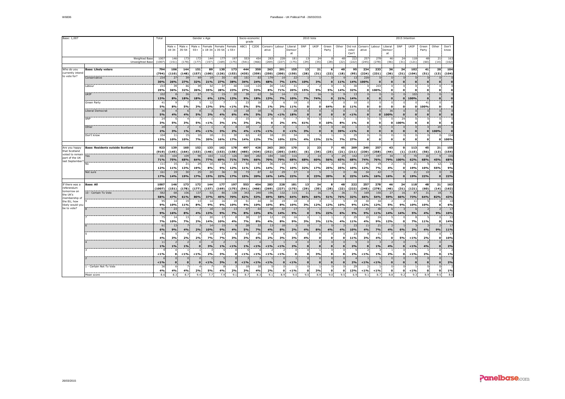| Base: 1,007                             |                                         |                | Total<br>Gender x Age         |                     |                 |                         |                      |              |               | Socio-economic<br>grade |                            |                      |                                | 2010 Vote            |                      |                          |                      |                           | 2015 Intention               |                          |                          |                          |                              |                              |                                      |                               |
|-----------------------------------------|-----------------------------------------|----------------|-------------------------------|---------------------|-----------------|-------------------------|----------------------|--------------|---------------|-------------------------|----------------------------|----------------------|--------------------------------|----------------------|----------------------|--------------------------|----------------------|---------------------------|------------------------------|--------------------------|--------------------------|--------------------------|------------------------------|------------------------------|--------------------------------------|-------------------------------|
|                                         |                                         |                | Male x :<br>$18 - 34$         | Male x<br>$35 - 54$ | Male x<br>$55+$ | $x 18 - 34$ $x 35 - 54$ | Female Female Female | $x 55+$      | ABC1 C2DE     |                         | Conserv Labour<br>ative    |                      | Liberal<br>Democr<br><b>at</b> | SNP                  | UKIP                 | Green<br>Party           | Other                | Did not<br>vote/<br>Can't | ative                        | Conserv Labour Liberal   | Democr<br>at             | SNP                      | UKIP                         | Green<br>Party               | Other                                | Don't<br>know                 |
| <b>Weighted Base</b><br>Unweighted Base |                                         |                | 146<br>(151)                  | 173<br>(178)        | 172<br>(177)    | 144<br>(157)            | 177<br>(169)         | 197<br>(175) | 553<br>(541)  | 454<br>(466)            | 283<br>(269)               | 228<br>(227)         | 181<br>(175)                   | 13<br>(29)           | 24<br>(35)           | я<br>(28)                | 48<br>(22)           | 222<br>(222)              | 257<br>(245)                 | 278<br>(278)             | 46<br>(46)               | 24<br>(31)               | 118<br>(121)                 | 48<br>(60)                   | 21<br>(14)                           | 16<br>(162)                   |
| Who do you                              | <b>Base: Likely voters</b>              | 794            | 106                           | 144                 | 151             | 89                      | 130                  | 173          | 444           | 350                     | 263                        | 201                  | 155                            | 13                   | 21                   | 6                        | 40                   | 95                        | 234                          | 233                      | 36                       | 24                       | 102                          | 41                           | 20                                   | 104                           |
| currently intend<br>to vote for?        |                                         | (794)          | (110)                         | (148)               | (157)           | (100)                   | (126)                | (153)        | (435)         | (359)                   | (250)                      | (200)                | (150)                          | (28)                 | (31)                 | (22)                     | (18)                 | (95)                      | (224)                        | (231)                    | (36)                     | (31)                     | (104)                        | (51)                         | (13)                                 | (104)                         |
|                                         | Conservative                            | 234<br>30%     | 27<br>26%                     | 39<br>27%           | 49<br>32%       | 19<br>21%               | 35<br>27%            | 65<br>38%    | 151<br>34%    | 83<br>24%               | 179<br>68%                 | 14<br>7%             | 22<br>14%                      | 10%                  | 3%                   | $\mathbf{0}$<br>$\Omega$ | 11%                  | 13<br>14%                 | 234<br>100%                  | $\mathbf{0}$<br>$\Omega$ | $\Omega$                 | $\Omega$                 | $\mathbf{0}$<br>$\mathbf{o}$ | $\mathbf{0}$<br>$\mathbf{0}$ | $\mathbf{o}$                         | $\Omega$                      |
|                                         | Labour                                  | 233            | 39                            | 46                  | 39              | 32                      | 37                   | 40           | 118           | 115                     | 20                         | 142                  | 31                             |                      |                      | $\Omega$                 | 6                    | 30                        | $\Omega$                     | 233                      | $\mathbf{0}$             | $\Omega$                 | $^{\circ}$                   | $^{\circ}$                   | $^{\circ}$                           |                               |
|                                         |                                         | 29%            | 36%                           | 32%                 | 26%             | 35%                     | 28%                  | 23%          | 27%           | 33%                     | 8%                         | 71%                  | 20%                            | 15%                  | 9%                   | <b>5%</b>                | 14%                  | 32%                       | $\Omega$                     | 100%                     | $\Omega$                 | $\Omega$                 | o                            | $\Omega$                     | $\Omega$                             | $\mathbf{o}$                  |
|                                         | <b>UKIP</b>                             | 102<br>13%     | 8<br>8%                       | 26<br>18%           | 27<br>18%       | 5<br>6%                 | 15<br>12%            | 20<br>12%    | 39<br>9%      | 63<br>18%               | 34<br>13%                  | 14<br>7%             | 15<br>10%                      | 7%                   | 16<br>74%            | $\Omega$<br>$\Omega$     | 21%                  | 13<br>14%                 | $\Omega$<br>$\Omega$         | $\Omega$                 | $\mathbf{0}$<br>$\Omega$ | $\Omega$<br>o            | 102<br>100%                  | $\mathbf{0}$<br>$\Omega$     | $\overline{0}$<br>$\pmb{\mathsf{o}}$ | $\overline{0}$<br>$\mathbf 0$ |
|                                         | Green Party                             | 41             |                               |                     |                 | 12                      |                      |              | 23            | 18                      | 3                          | -6                   | 18                             | $\Omega$             | $\Omega$             | 4                        | $\Omega$             | 10                        | $^{\circ}$                   | $\mathbf{0}$             | 0                        | $\Omega$                 | $\Omega$                     | 41                           | $\mathbf{0}$                         |                               |
|                                         |                                         | 5%             | 8%                            | 5%                  | 3%              | 13%                     | 5%                   | $< 1\%$      | 5%            | 5%                      | 1%                         | 3%                   | 11%                            | $\Omega$             | $\Omega$             | 64%                      | $\Omega$             | 11%                       | $\mathbf{0}$                 | $\mathbf{o}$             | $\Omega$                 | n                        | $\mathbf{o}$                 | 100%                         | $\mathbf{o}$                         | $\mathbf{o}$                  |
|                                         | Liberal Democrat                        | 36<br>5%       | 4%                            | 4%                  | 5%              | 3%                      | 4%                   | 10<br>6%     | 18<br>4%      | 18<br>5%                | 6<br>2%                    | $< 1\%$              | 28<br>18%                      | $\Omega$<br>$\Omega$ | $\mathbf{o}$         | $\Omega$                 | $\Omega$<br>$\Omega$ | $< 1\%$                   | $\mathbf{0}$<br>$\mathbf{0}$ | $\Omega$<br>$\mathbf{0}$ | 36<br>100%               | $\Omega$<br>$\Omega$     | $\Omega$<br>$\mathbf{0}$     | $\Omega$                     | $\mathbf 0$<br>$\mathbf{o}$          | $\mathbf{o}$                  |
|                                         | SNP                                     | 24             | 5                             |                     |                 |                         |                      |              | 15            |                         | O                          |                      |                                | 8                    | $\overline{0}$       | -1                       |                      |                           | $\Omega$                     | $\Omega$                 |                          | 24                       | $\Omega$                     | $\Omega$                     | $\Omega$<br>$\Omega$                 | $\Omega$                      |
|                                         | Other                                   | 3%<br>20       | 5%<br>$\overline{\mathbf{3}}$ | 3%                  | 5%              | $< 1\%$                 | 3%                   | $1\%$        | 3%<br>18      | 2%                      | $\Omega$<br>$\overline{2}$ | 2%<br>$\Omega$       | 4%                             | 61%                  | $\Omega$<br>$\Omega$ | 10%                      | 8%<br>16             | 1%                        | $\Omega$<br>$\Omega$         | $\Omega$<br>$\Omega$     | $\Omega$                 | 100%                     | $\mathbf o$<br>$\mathbf{0}$  | $\Omega$<br>$\mathbf{0}$     | 20                                   |                               |
|                                         |                                         | 2%             | 3%                            | 1%                  | 4%              | $< 1\%$                 | 3%                   | 2%           | 4%            | $< 1\%$                 | < 1%                       | $\Omega$             | $< 1\%$                        | 3%                   | $\mathbf{o}$         | $\Omega$                 | 39%                  | $< 1\%$                   | $\mathbf{0}$                 | $\mathbf{o}$             | $\Omega$                 | $\Omega$                 | $\bullet$                    | $\Omega$                     | 100%                                 | $\Omega$                      |
|                                         | Don't know                              | 104<br>13%     | 11<br>10%                     | 15<br>10%           | 10<br>7%        | 18<br>20%               | 21<br>16%            | 30<br>17%    | 62<br>14%     | 43<br>12%               | 18<br><b>7%</b>            | 20<br>10%            | 34<br>22%                      | 4%                   | 13%                  | 21%                      | 7%                   | 25<br>27%                 | $\Omega$<br>$\mathbf{0}$     | $\Omega$<br>$\mathbf{o}$ | $\Omega$<br>$\bullet$    | $\Omega$<br>$\mathbf{o}$ | $\Omega$<br>$\mathbf{o}$     |                              | $\bullet$                            | 104<br>100%                   |
|                                         |                                         |                |                               |                     |                 |                         |                      |              |               |                         |                            |                      |                                |                      |                      |                          |                      |                           |                              |                          |                          |                          |                              | $\mathbf 0$                  |                                      |                               |
| Are you happy                           | <b>Base: Residents outside Scotland</b> | 923            | 139                           | 160                 | 152             | 133                     | 162                  | 178          | 497           | 426                     | 263                        | 203                  | 170                            | $\overline{2}$       | 23                   | $\overline{z}$           | 45                   | 209                       | 240                          | 257                      | 43                       | $\mathbf o$              | 113                          | 45                           | 21                                   | 155                           |
| that Scotland<br>voted to remain        |                                         | (919)<br>651   | (145)<br>104                  | (164)<br>109        | (153)<br>98     | (146)<br>103            | (153)<br>112         | (158)<br>126 | (485)<br>369  | (434)<br>282            | (252)<br>184               | (205)<br>160         | (165)<br>116                   | (6)                  | (34)<br>14           | (25)<br>$\Delta$         | (21)<br>29           | (211)<br>142              | (230)<br>177                 | (258)<br>197             | (44)<br>34               | (1)                      | (115)<br>70                  | (56)<br>30                   | (13)<br>$\Omega$                     | (154)<br>106                  |
| part of the UK                          | Yes                                     | 71%            | 75%                           | 68%                 | 64%             | 77%                     | 69%                  | 71%          | 74%           | 66%                     | 70%                        | 79%                  | 68%                            | 68%                  | 60%                  | 56%                      | 65%                  | 68%                       | 74%                          | 76%                      | <b>79%</b>               | 100%                     | 62%                          | 68%                          | 45%                                  | 68%                           |
| last September                          |                                         | 111            | 15                            | 21                  | 29              | 10                      | 14                   | 22           | 54            | 57                      | 36                         | 14                   | 17                             |                      |                      | 2                        | 16                   | 21                        | 29                           | 19                       | 2                        | n                        | 21                           |                              | 12                                   | 14                            |
|                                         | Not sure                                | 12%<br>161     | 11%<br>19                     | 13%<br>30           | 19%<br>25       | 8%<br>20                | 9%<br>36             | 12%<br>30    | 11%<br>73     | 13%<br>87               | 14%<br>42                  | 7%<br>29             | 10%<br>37                      | 32%                  | 17%                  | 25%                      | 35%<br>$\Omega$      | 10%<br>46                 | 12%<br>34                    | 7%<br>42                 | 4%                       | $\Omega$<br>$\Omega$     | 19%<br>21                    | 10%<br>10                    | 55%<br>$\bf{0}$                      | 9%<br>35                      |
|                                         |                                         | 17%            | 14%                           | 19%                 | 17%             | 15%                     | 22%                  | 17%          | 15%           | 20%                     | 16%                        | 14%                  | 22%                            | $\Omega$             | 23%                  | 20%                      | $\Omega$             | 22%                       | 14%                          | 16%                      | 16%                      | $\Omega$                 | 19%                          | 22%                          | $\bullet$                            | 22%                           |
|                                         |                                         |                |                               |                     |                 |                         |                      |              |               |                         |                            |                      |                                |                      |                      |                          |                      |                           |                              |                          |                          |                          |                              |                              |                                      |                               |
| If there was a<br>referendum            | <b>Base: All</b>                        | 1007<br>(1007) | 146<br>(151)                  | 173<br>(178)        | 172<br>(177)    | 144<br>(157)            | 177<br>(169)         | 197<br>(175) | 553<br>(541)  | 454<br>(466)            | 283<br>(269)               | 228<br>(227)         | 181<br>(175)                   | 13<br>(29)           | 24<br>(35)           | 8<br>(28)                | 48<br>(22)           | 222<br>(222)              | 257<br>(245)                 | 278<br>(278)             | 46<br>(46)               | 24<br>(31)               | 118<br>(121)                 | 48<br>(60)                   | 21<br>(14)                           | 163<br>(162)                  |
| tomorrow on                             | 10 - Certain To Vote                    | 582            | 68                            | 106                 | 137             | 53                      | 80                   | 138          | 343           | 240                     | 196                        | 132                  | 115                            | 11                   | 16                   | 4                        | 36                   | 71                        | 169                          | 150                      | 27                       | 16                       | 87                           | 31                           | 18                                   | 71                            |
| the UK's<br>membership of               |                                         | 58%            | 47%                           | 61%                 | 80%             | 37%                     | 45%                  | 70%          | 62%           | 53%                     | 69%                        | 58%                  | 64%                            | 86%                  | 66%                  | 51%                      | 76%                  | 32%                       | 66%                          | 54%                      | 59%                      | 66%                      | 73%                          | 64%                          | 82%                                  | 43%                           |
| the EU, how<br>likely would you         |                                         | 95<br>9%       | 14<br>10%                     | 19<br>11%           | 13<br>8%        | 14<br>9%                | 16<br>9%             | 19<br>10%    | 51<br>9%      | 44<br>10%               | 30<br>10%                  | 19<br>8%             | 18<br>10%                      | 3%                   | 12%                  | 12%                      | 10%                  | 19<br>9%                  | 30<br>12%                    | 34<br>12%                | 5%                       | 9%                       | 11<br>10%                    | 10%                          | $^{\circ}$<br>$\mathbf{o}$           | 10<br>6%                      |
| be to vote?                             |                                         | 91             | 23                            | 14                  | $\overline{7}$  | 18                      | 16                   | 13           | 47            | 44                      | 18                         | 32                   | 17 <sup>1</sup>                | $\overline{0}$       |                      | $\overline{z}$           | $\overline{3}$       | 19                        | 23                           | 30                       | 6                        |                          | 6                            | 2                            | $\overline{2}$                       | 17                            |
|                                         |                                         | 9%             | 16%                           | 8%                  | 4%              | 13%                     | 9%                   | 7%           | 8%            | 10%                     | 6%                         | 14%                  | 9%                             | $\mathbf{0}$         | 5%                   | 22%                      | 6%                   | 9%                        | 9%                           | 11%                      | 14%                      | 14%                      | 5%                           | 4%                           | 9%                                   | 10%                           |
|                                         |                                         | 75<br>7%       | 14<br>10%                     | 13<br>7%            | з<br>2%         | 20<br>14%               | 17<br>10%            | 4%           | 38<br>7%      | 37<br>8%                | 12<br>4%                   | 19<br>8%             | 16<br>9%                       | $\Omega$<br>3%       | 3%                   | 11%                      | 4%                   | 25<br>11%                 | 10<br>4%                     | 24<br>9%                 | 5<br>12%                 | n<br>$\Omega$            | <b>7%</b>                    | 11%                          | $\Omega$<br>$\Omega$                 | 22<br>14%                     |
|                                         |                                         | 61             | 13                            |                     |                 | 14                      | 15                   |              | 28            | 33                      | 13                         | 18                   | $\overline{\mathbf{3}}$        | $\Omega$             | $\overline{2}$       | $\Omega$                 | $\overline{2}$       | 23                        | 11                           | 21                       | $\overline{2}$           | $\mathbf{1}$             | -3                           | $\overline{2}$               | $\overline{2}$                       | 17                            |
|                                         |                                         | 6%             | 9%                            | 4%                  | 2%              | 10%                     | 9%                   | 4%           | 5%            | 7%                      | 4%                         | 8%                   | 2%                             | 4%                   | 8%                   | 4%                       | 4%                   | 10%                       | 4%                           | 7%                       | 4%                       | 6%                       | 2%                           | 4%                           | 9%                                   | 11%                           |
|                                         |                                         | 41<br>4%       | 3%                            | 2%                  | 2%              | 10<br>7%                | 13<br>7%             | 3%           | 14<br>3%      | 26<br>6%                | -6<br>2%                   | 6<br>3%              | 3%                             | 4%                   | $\mathbf{o}$         | $\Omega$                 | n<br>$\mathbf{a}$    | 23<br>11%                 | $\mathbf{R}$<br>3%           | 11<br>4%                 | $\Omega$<br>$\Omega$     | 5%                       | $< 1\%$                      | 2%                           | n                                    | $\pm$<br>10%                  |
|                                         |                                         | 11             | $\overline{2}$                | $\mathcal{L}$       | $\Omega$        |                         | - 2                  |              |               |                         |                            |                      | $\Delta$                       | $\Omega$             | $\Omega$             | $\Omega$                 | $\Omega$             |                           | $\Omega$                     | $\mathcal{R}$            | $\overline{2}$           | $\Omega$                 |                              | $\overline{2}$               | $\Omega$                             |                               |
|                                         |                                         | 1%             | 1%                            | 1%                  | $\mathbf{0}$    | 3%                      | 1%                   | $< 1\%$      | 1%            | $< 1\%$                 | $< 1\%$                    | $< 1\%$              | 2%                             | $\Omega$             | $\mathbf{o}$         | $\Omega$                 | $\Omega$             | 2%                        | $\Omega$                     | 1%                       | 4%                       | $\mathbf{o}$             | $< 1\%$                      | 4%                           | $\Omega$                             | 2%                            |
|                                         |                                         | < 1%           | $\mathbf{0}$                  | < 1%                | $< 1\%$         | 2%                      | 3%                   | $\Omega$     | $< 1\%$       | $< 1\%$                 | < 1%                       | $< 1\%$              | $\Omega$<br>$\mathbf{0}$       | $\Omega$<br>$\Omega$ | $\mathbf{1}$<br>3%   | $\Omega$<br>$\Omega$     | $\Omega$<br>$\Omega$ | 2%                        | $\overline{z}$<br>$< 1\%$    | 1%                       | 2%                       | $\Omega$<br>$\Omega$     | $< 1\%$                      | 2%                           | $\Omega$<br>$\Omega$                 | 1%                            |
|                                         |                                         |                | $\Omega$                      |                     | $\Omega$        |                         | 5                    |              |               |                         |                            | $\Omega$             | $\mathbf{1}$                   | $\Omega$             | $\Omega$             | $\Omega$                 | $\Omega$             |                           |                              |                          | $\Omega$                 | $\Omega$                 | $\Omega$                     | $\Omega$                     | $\Omega$                             |                               |
|                                         | 1 - Certain Not To Vote                 | < 1%<br>36     | $\Omega$<br>6                 | $\Omega$            | $\mathbf{o}$    | $< 1\%$                 | 3%                   | $\Omega$     | $< 1\%$<br>18 | $1\%$<br>18             | $< 1\%$                    | $\Omega$<br>$\Omega$ | $< 1\%$                        | $\Omega$             | $\Omega$             | $\Omega$<br>$\Omega$     | $\Omega$<br>$\Omega$ | 2%<br>29                  | $< 1\%$                      | $< 1\%$                  | $\bf{0}$<br>$\Omega$     | $\Omega$<br>$\Omega$     | $\Omega$                     | $\Omega$<br>$^{\circ}$       | $\mathbf{o}$<br>$^{\circ}$           | 2%                            |
|                                         |                                         | 4%             | 4%                            | 4%                  | 2%              | 5%                      | 4%                   | 2%           | 3%            | 4%                      | 2%                         | $\mathbf{o}$         | $< 1\%$                        | $\Omega$             | 3%                   | $\Omega$                 | $\mathbf{o}$         | 13%                       | $< 1\%$                      | $< 1\%$                  | $\Omega$                 | $\mathbf 0$              | < 1%                         | $\mathbf{o}$                 | $\mathbf{o}$                         | 1%                            |
|                                         | Mean score                              | 8.6            | 8.3                           | 8.7                 | 9.4             | 7.7                     | 7.9                  | 9.1          | 8.7           | 8.3                     | 9.1                        | 8.9 <sup>1</sup>     | 9.0                            | 9.5                  | 8.9                  | 9.0                      | 9.5                  | 6.9                       | 9.1                          | 8.7                      | 8.8 <sup>1</sup>         | 9.2                      | 9.3                          | 8.9                          | 9.5                                  | 8.0                           |